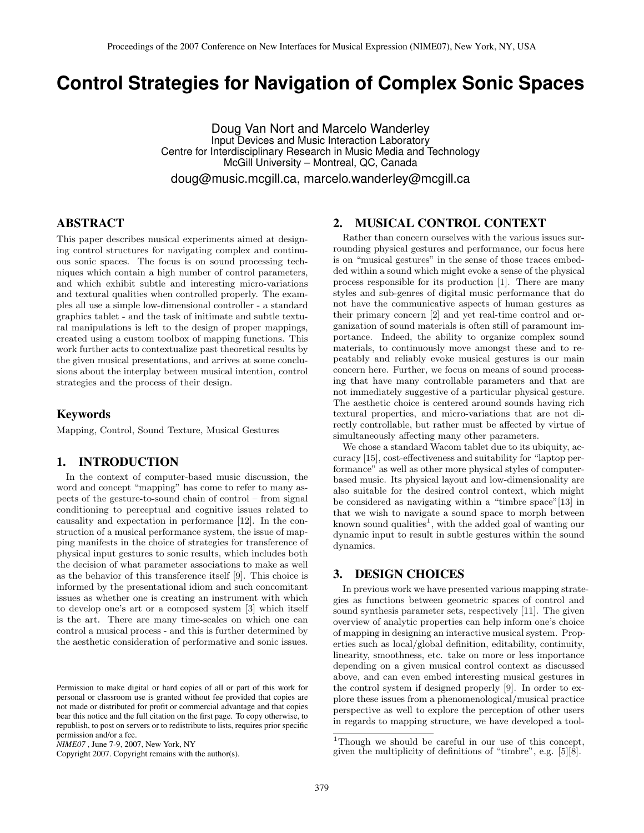# **Control Strategies for Navigation of Complex Sonic Spaces**

Doug Van Nort and Marcelo Wanderley Input Devices and Music Interaction Laboratory Centre for Interdisciplinary Research in Music Media and Technology McGill University – Montreal, QC, Canada doug@music.mcgill.ca, marcelo.wanderley@mcgill.ca

ABSTRACT

This paper describes musical experiments aimed at designing control structures for navigating complex and continuous sonic spaces. The focus is on sound processing techniques which contain a high number of control parameters, and which exhibit subtle and interesting micro-variations and textural qualities when controlled properly. The examples all use a simple low-dimensional controller - a standard graphics tablet - and the task of initimate and subtle textural manipulations is left to the design of proper mappings, created using a custom toolbox of mapping functions. This work further acts to contextualize past theoretical results by the given musical presentations, and arrives at some conclusions about the interplay between musical intention, control strategies and the process of their design.

## Keywords

Mapping, Control, Sound Texture, Musical Gestures

# 1. INTRODUCTION

In the context of computer-based music discussion, the word and concept "mapping" has come to refer to many aspects of the gesture-to-sound chain of control – from signal conditioning to perceptual and cognitive issues related to causality and expectation in performance [12]. In the construction of a musical performance system, the issue of mapping manifests in the choice of strategies for transference of physical input gestures to sonic results, which includes both the decision of what parameter associations to make as well as the behavior of this transference itself [9]. This choice is informed by the presentational idiom and such concomitant issues as whether one is creating an instrument with which to develop one's art or a composed system [3] which itself is the art. There are many time-scales on which one can control a musical process - and this is further determined by the aesthetic consideration of performative and sonic issues.

Copyright 2007. Copyright remains with the author(s).

## 2. MUSICAL CONTROL CONTEXT

Rather than concern ourselves with the various issues surrounding physical gestures and performance, our focus here is on "musical gestures" in the sense of those traces embedded within a sound which might evoke a sense of the physical process responsible for its production [1]. There are many styles and sub-genres of digital music performance that do not have the communicative aspects of human gestures as their primary concern [2] and yet real-time control and organization of sound materials is often still of paramount importance. Indeed, the ability to organize complex sound materials, to continuously move amongst these and to repeatably and reliably evoke musical gestures is our main concern here. Further, we focus on means of sound processing that have many controllable parameters and that are not immediately suggestive of a particular physical gesture. The aesthetic choice is centered around sounds having rich textural properties, and micro-variations that are not directly controllable, but rather must be affected by virtue of simultaneously affecting many other parameters.

We chose a standard Wacom tablet due to its ubiquity, accuracy [15], cost-effectiveness and suitability for "laptop performance" as well as other more physical styles of computerbased music. Its physical layout and low-dimensionality are also suitable for the desired control context, which might be considered as navigating within a "timbre space"[13] in that we wish to navigate a sound space to morph between known sound qualities<sup>1</sup>, with the added goal of wanting our dynamic input to result in subtle gestures within the sound dynamics.

## 3. DESIGN CHOICES

In previous work we have presented various mapping strategies as functions between geometric spaces of control and sound synthesis parameter sets, respectively [11]. The given overview of analytic properties can help inform one's choice of mapping in designing an interactive musical system. Properties such as local/global definition, editability, continuity, linearity, smoothness, etc. take on more or less importance depending on a given musical control context as discussed above, and can even embed interesting musical gestures in the control system if designed properly [9]. In order to explore these issues from a phenomenological/musical practice perspective as well to explore the perception of other users in regards to mapping structure, we have developed a tool-

Permission to make digital or hard copies of all or part of this work for personal or classroom use is granted without fee provided that copies are not made or distributed for profit or commercial advantage and that copies bear this notice and the full citation on the first page. To copy otherwise, to republish, to post on servers or to redistribute to lists, requires prior specific permission and/or a fee.

*NIME07* , June 7-9, 2007, New York, NY

<sup>1</sup>Though we should be careful in our use of this concept, given the multiplicity of definitions of "timbre", e.g. [5][8].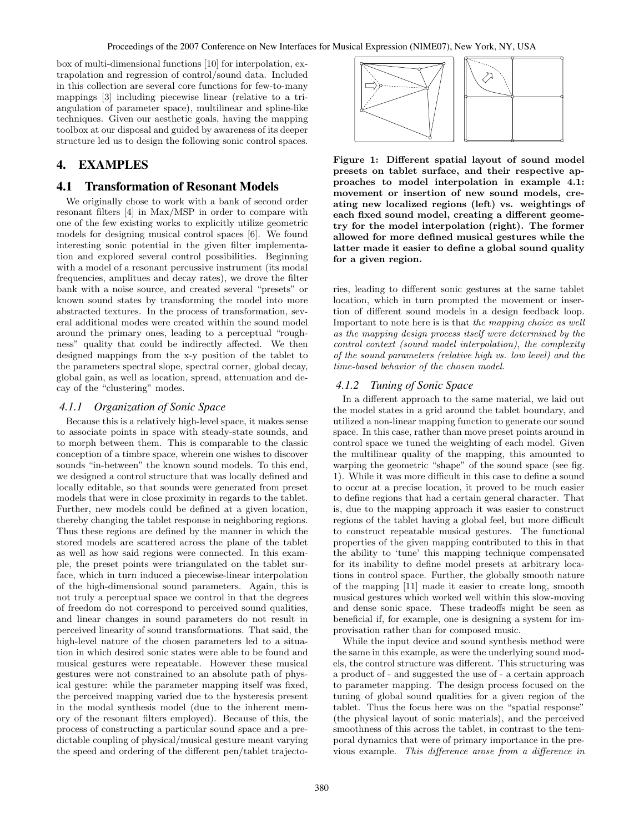box of multi-dimensional functions [10] for interpolation, extrapolation and regression of control/sound data. Included in this collection are several core functions for few-to-many mappings [3] including piecewise linear (relative to a triangulation of parameter space), multilinear and spline-like techniques. Given our aesthetic goals, having the mapping toolbox at our disposal and guided by awareness of its deeper structure led us to design the following sonic control spaces.

# 4. EXAMPLES

#### 4.1 Transformation of Resonant Models

We originally chose to work with a bank of second order resonant filters [4] in Max/MSP in order to compare with one of the few existing works to explicitly utilize geometric models for designing musical control spaces [6]. We found interesting sonic potential in the given filter implementation and explored several control possibilities. Beginning with a model of a resonant percussive instrument (its modal frequencies, amplitues and decay rates), we drove the filter bank with a noise source, and created several "presets" or known sound states by transforming the model into more abstracted textures. In the process of transformation, several additional modes were created within the sound model around the primary ones, leading to a perceptual "roughness" quality that could be indirectly affected. We then designed mappings from the x-y position of the tablet to the parameters spectral slope, spectral corner, global decay, global gain, as well as location, spread, attenuation and decay of the "clustering" modes.

#### *4.1.1 Organization of Sonic Space*

Because this is a relatively high-level space, it makes sense to associate points in space with steady-state sounds, and to morph between them. This is comparable to the classic conception of a timbre space, wherein one wishes to discover sounds "in-between" the known sound models. To this end, we designed a control structure that was locally defined and locally editable, so that sounds were generated from preset models that were in close proximity in regards to the tablet. Further, new models could be defined at a given location, thereby changing the tablet response in neighboring regions. Thus these regions are defined by the manner in which the stored models are scattered across the plane of the tablet as well as how said regions were connected. In this example, the preset points were triangulated on the tablet surface, which in turn induced a piecewise-linear interpolation of the high-dimensional sound parameters. Again, this is not truly a perceptual space we control in that the degrees of freedom do not correspond to perceived sound qualities, and linear changes in sound parameters do not result in perceived linearity of sound transformations. That said, the high-level nature of the chosen parameters led to a situation in which desired sonic states were able to be found and musical gestures were repeatable. However these musical gestures were not constrained to an absolute path of physical gesture: while the parameter mapping itself was fixed, the perceived mapping varied due to the hysteresis present in the modal synthesis model (due to the inherent memory of the resonant filters employed). Because of this, the process of constructing a particular sound space and a predictable coupling of physical/musical gesture meant varying the speed and ordering of the different pen/tablet trajecto-



Figure 1: Different spatial layout of sound model presets on tablet surface, and their respective approaches to model interpolation in example 4.1: movement or insertion of new sound models, creating new localized regions (left) vs. weightings of each fixed sound model, creating a different geometry for the model interpolation (right). The former allowed for more defined musical gestures while the latter made it easier to define a global sound quality for a given region.

ries, leading to different sonic gestures at the same tablet location, which in turn prompted the movement or insertion of different sound models in a design feedback loop. Important to note here is is that the mapping choice as well as the mapping design process itself were determined by the control context (sound model interpolation), the complexity of the sound parameters (relative high vs. low level) and the time-based behavior of the chosen model.

#### *4.1.2 Tuning of Sonic Space*

In a different approach to the same material, we laid out the model states in a grid around the tablet boundary, and utilized a non-linear mapping function to generate our sound space. In this case, rather than move preset points around in control space we tuned the weighting of each model. Given the multilinear quality of the mapping, this amounted to warping the geometric "shape" of the sound space (see fig. 1). While it was more difficult in this case to define a sound to occur at a precise location, it proved to be much easier to define regions that had a certain general character. That is, due to the mapping approach it was easier to construct regions of the tablet having a global feel, but more difficult to construct repeatable musical gestures. The functional properties of the given mapping contributed to this in that the ability to 'tune' this mapping technique compensated for its inability to define model presets at arbitrary locations in control space. Further, the globally smooth nature of the mapping [11] made it easier to create long, smooth musical gestures which worked well within this slow-moving and dense sonic space. These tradeoffs might be seen as beneficial if, for example, one is designing a system for improvisation rather than for composed music.

While the input device and sound synthesis method were the same in this example, as were the underlying sound models, the control structure was different. This structuring was a product of - and suggested the use of - a certain approach to parameter mapping. The design process focused on the tuning of global sound qualities for a given region of the tablet. Thus the focus here was on the "spatial response" (the physical layout of sonic materials), and the perceived smoothness of this across the tablet, in contrast to the temporal dynamics that were of primary importance in the previous example. This difference arose from a difference in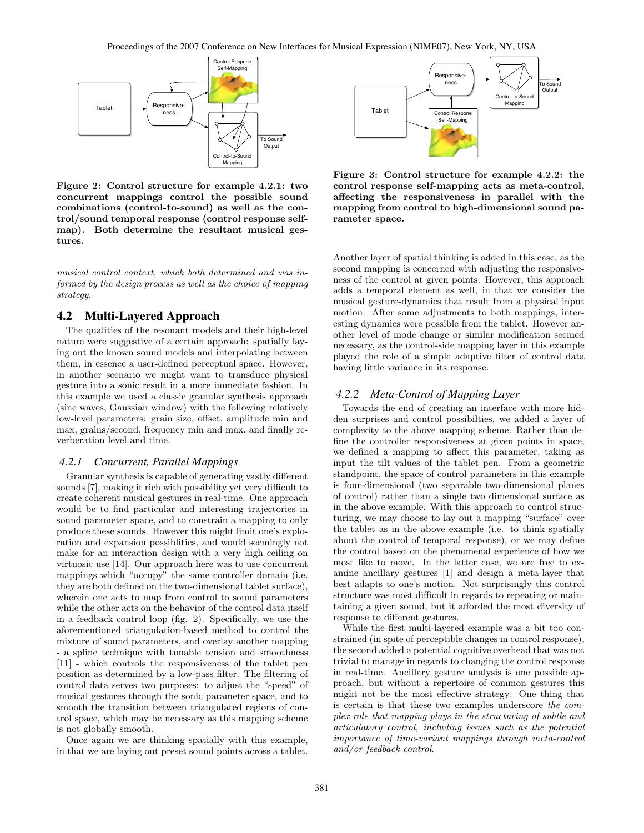

Figure 2: Control structure for example 4.2.1: two concurrent mappings control the possible sound combinations (control-to-sound) as well as the control/sound temporal response (control response selfmap). Both determine the resultant musical gestures.

musical control context, which both determined and was informed by the design process as well as the choice of mapping strategy.

#### 4.2 Multi-Layered Approach

The qualities of the resonant models and their high-level nature were suggestive of a certain approach: spatially laying out the known sound models and interpolating between them, in essence a user-defined perceptual space. However, in another scenario we might want to transduce physical gesture into a sonic result in a more immediate fashion. In this example we used a classic granular synthesis approach (sine waves, Gaussian window) with the following relatively low-level parameters: grain size, offset, amplitude min and max, grains/second, frequency min and max, and finally reverberation level and time.

## *4.2.1 Concurrent, Parallel Mappings*

Granular synthesis is capable of generating vastly different sounds [7], making it rich with possibility yet very difficult to create coherent musical gestures in real-time. One approach would be to find particular and interesting trajectories in sound parameter space, and to constrain a mapping to only produce these sounds. However this might limit one's exploration and expansion possiblities, and would seemingly not make for an interaction design with a very high ceiling on virtuosic use [14]. Our approach here was to use concurrent mappings which "occupy" the same controller domain (i.e. they are both defined on the two-dimensional tablet surface), wherein one acts to map from control to sound parameters while the other acts on the behavior of the control data itself in a feedback control loop (fig. 2). Specifically, we use the aforementioned triangulation-based method to control the mixture of sound parameters, and overlay another mapping - a spline technique with tunable tension and smoothness [11] - which controls the responsiveness of the tablet pen position as determined by a low-pass filter. The filtering of control data serves two purposes: to adjust the "speed" of musical gestures through the sonic parameter space, and to smooth the transition between triangulated regions of control space, which may be necessary as this mapping scheme is not globally smooth.

Once again we are thinking spatially with this example, in that we are laying out preset sound points across a tablet.



Figure 3: Control structure for example 4.2.2: the control response self-mapping acts as meta-control, affecting the responsiveness in parallel with the mapping from control to high-dimensional sound parameter space.

Another layer of spatial thinking is added in this case, as the second mapping is concerned with adjusting the responsiveness of the control at given points. However, this approach adds a temporal element as well, in that we consider the musical gesture-dynamics that result from a physical input motion. After some adjustments to both mappings, interesting dynamics were possible from the tablet. However another level of mode change or similar modification seemed necessary, as the control-side mapping layer in this example played the role of a simple adaptive filter of control data having little variance in its response.

## *4.2.2 Meta-Control of Mapping Layer*

Towards the end of creating an interface with more hidden surprises and control possibilties, we added a layer of complexity to the above mapping scheme. Rather than define the controller responsiveness at given points in space, we defined a mapping to affect this parameter, taking as input the tilt values of the tablet pen. From a geometric standpoint, the space of control parameters in this example is four-dimensional (two separable two-dimensional planes of control) rather than a single two dimensional surface as in the above example. With this approach to control structuring, we may choose to lay out a mapping "surface" over the tablet as in the above example (i.e. to think spatially about the control of temporal response), or we may define the control based on the phenomenal experience of how we most like to move. In the latter case, we are free to examine ancillary gestures [1] and design a meta-layer that best adapts to one's motion. Not surprisingly this control structure was most difficult in regards to repeating or maintaining a given sound, but it afforded the most diversity of response to different gestures.

While the first multi-layered example was a bit too constrained (in spite of perceptible changes in control response), the second added a potential cognitive overhead that was not trivial to manage in regards to changing the control response in real-time. Ancillary gesture analysis is one possible approach, but without a repertoire of common gestures this might not be the most effective strategy. One thing that is certain is that these two examples underscore the complex role that mapping plays in the structuring of subtle and articulatory control, including issues such as the potential importance of time-variant mappings through meta-control and/or feedback control.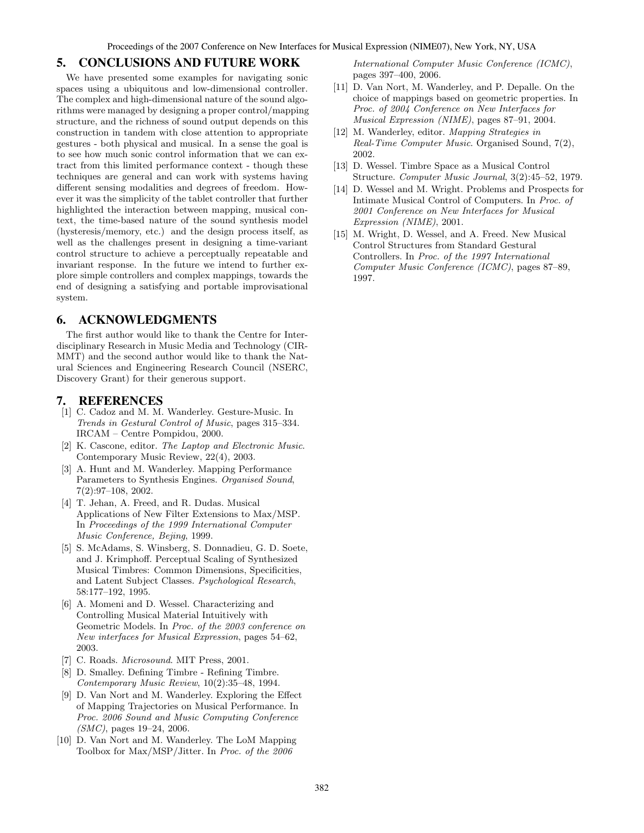## 5. CONCLUSIONS AND FUTURE WORK

We have presented some examples for navigating sonic spaces using a ubiquitous and low-dimensional controller. The complex and high-dimensional nature of the sound algorithms were managed by designing a proper control/mapping structure, and the richness of sound output depends on this construction in tandem with close attention to appropriate gestures - both physical and musical. In a sense the goal is to see how much sonic control information that we can extract from this limited performance context - though these techniques are general and can work with systems having different sensing modalities and degrees of freedom. However it was the simplicity of the tablet controller that further highlighted the interaction between mapping, musical context, the time-based nature of the sound synthesis model (hysteresis/memory, etc.) and the design process itself, as well as the challenges present in designing a time-variant control structure to achieve a perceptually repeatable and invariant response. In the future we intend to further explore simple controllers and complex mappings, towards the end of designing a satisfying and portable improvisational system.

# 6. ACKNOWLEDGMENTS

The first author would like to thank the Centre for Interdisciplinary Research in Music Media and Technology (CIR-MMT) and the second author would like to thank the Natural Sciences and Engineering Research Council (NSERC, Discovery Grant) for their generous support.

#### 7. REFERENCES

- [1] C. Cadoz and M. M. Wanderley. Gesture-Music. In Trends in Gestural Control of Music, pages 315–334. IRCAM – Centre Pompidou, 2000.
- [2] K. Cascone, editor. The Laptop and Electronic Music. Contemporary Music Review, 22(4), 2003.
- [3] A. Hunt and M. Wanderley. Mapping Performance Parameters to Synthesis Engines. Organised Sound, 7(2):97–108, 2002.
- [4] T. Jehan, A. Freed, and R. Dudas. Musical Applications of New Filter Extensions to Max/MSP. In Proceedings of the 1999 International Computer Music Conference, Bejing, 1999.
- [5] S. McAdams, S. Winsberg, S. Donnadieu, G. D. Soete, and J. Krimphoff. Perceptual Scaling of Synthesized Musical Timbres: Common Dimensions, Specificities, and Latent Subject Classes. Psychological Research, 58:177–192, 1995.
- [6] A. Momeni and D. Wessel. Characterizing and Controlling Musical Material Intuitively with Geometric Models. In Proc. of the 2003 conference on New interfaces for Musical Expression, pages 54–62, 2003.
- [7] C. Roads. Microsound. MIT Press, 2001.
- [8] D. Smalley. Defining Timbre Refining Timbre. Contemporary Music Review, 10(2):35–48, 1994.
- [9] D. Van Nort and M. Wanderley. Exploring the Effect of Mapping Trajectories on Musical Performance. In Proc. 2006 Sound and Music Computing Conference  $(SMC)$ , pages 19–24, 2006.
- [10] D. Van Nort and M. Wanderley. The LoM Mapping Toolbox for Max/MSP/Jitter. In Proc. of the 2006

International Computer Music Conference (ICMC), pages 397–400, 2006.

- [11] D. Van Nort, M. Wanderley, and P. Depalle. On the choice of mappings based on geometric properties. In Proc. of 2004 Conference on New Interfaces for Musical Expression (NIME), pages 87–91, 2004.
- [12] M. Wanderley, editor. Mapping Strategies in Real-Time Computer Music. Organised Sound, 7(2), 2002.
- [13] D. Wessel. Timbre Space as a Musical Control Structure. Computer Music Journal, 3(2):45–52, 1979.
- [14] D. Wessel and M. Wright. Problems and Prospects for Intimate Musical Control of Computers. In Proc. of 2001 Conference on New Interfaces for Musical Expression (NIME), 2001.
- [15] M. Wright, D. Wessel, and A. Freed. New Musical Control Structures from Standard Gestural Controllers. In Proc. of the 1997 International Computer Music Conference (ICMC), pages 87–89, 1997.